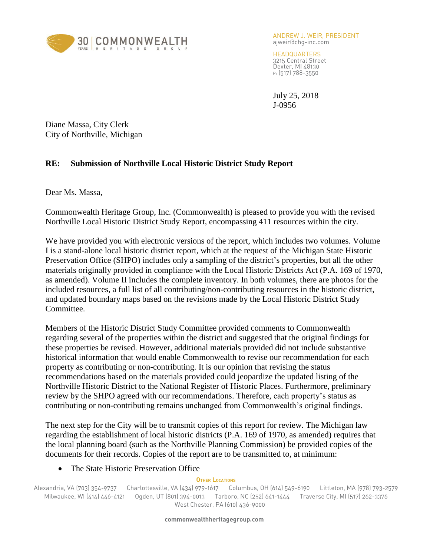

ANDREW J. WEIR, PRESIDENT ajweir@chg-inc.com

HEADQUARTERS 3215 Central Street Dexter, MI 48130 P: (517) 788-3550

July 25, 2018 J-0956

Diane Massa, City Clerk City of Northville, Michigan

## **RE: Submission of Northville Local Historic District Study Report**

Dear Ms. Massa,

Commonwealth Heritage Group, Inc. (Commonwealth) is pleased to provide you with the revised Northville Local Historic District Study Report, encompassing 411 resources within the city.

We have provided you with electronic versions of the report, which includes two volumes. Volume I is a stand-alone local historic district report, which at the request of the Michigan State Historic Preservation Office (SHPO) includes only a sampling of the district's properties, but all the other materials originally provided in compliance with the Local Historic Districts Act (P.A. 169 of 1970, as amended). Volume II includes the complete inventory. In both volumes, there are photos for the included resources, a full list of all contributing/non-contributing resources in the historic district, and updated boundary maps based on the revisions made by the Local Historic District Study Committee.

Members of the Historic District Study Committee provided comments to Commonwealth regarding several of the properties within the district and suggested that the original findings for these properties be revised. However, additional materials provided did not include substantive historical information that would enable Commonwealth to revise our recommendation for each property as contributing or non-contributing. It is our opinion that revising the status recommendations based on the materials provided could jeopardize the updated listing of the Northville Historic District to the National Register of Historic Places. Furthermore, preliminary review by the SHPO agreed with our recommendations. Therefore, each property's status as contributing or non-contributing remains unchanged from Commonwealth's original findings.

The next step for the City will be to transmit copies of this report for review. The Michigan law regarding the establishment of local historic districts (P.A. 169 of 1970, as amended) requires that the local planning board (such as the Northville Planning Commission) be provided copies of the documents for their records. Copies of the report are to be transmitted to, at minimum:

## • The State Historic Preservation Office

## **OTHER LOCATIONS**

Alexandria, VA (703) 354-9737 Charlottesville, VA (434) 979-1617 Columbus, OH (614) 549-6190 Littleton, MA (978) 793-2579 Milwaukee, WI (414) 446-4121 Ogden, UT (801) 394-0013 Tarboro, NC (252) 641-1444 Traverse City, MI (517) 262-3376 West Chester, PA (610) 436-9000